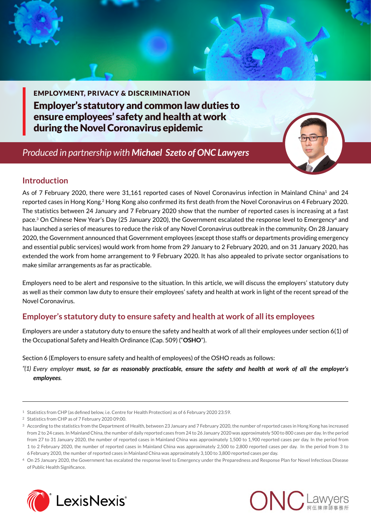EMPLOYMENT, PRIVACY & DISCRIMINATION Employer's statutory and common law duties to ensure employees' safety and health at work during the Novel Coronavirus epidemic

# *Produced in partnership with [Michael Szeto of ONC Lawyers](http://www.onc.hk/en_US/michael-szeto/)*



## **Introduction**

As of 7 February 2020, there were 31,161 reported cases of Novel Coronavirus infection in Mainland China<sup>1</sup> and 24 reported cases in Hong Kong.2 Hong Kong also confirmed its first death from the Novel Coronavirus on 4 February 2020. The statistics between 24 January and 7 February 2020 show that the number of reported cases is increasing at a fast pace.3 On Chinese New Year's Day (25 January 2020), the Government escalated the response level to Emergency4 and has launched a series of measures to reduce the risk of any Novel Coronavirus outbreak in the community. On 28 January 2020, the Government announced that Government employees (except those staffs or departments providing emergency and essential public services) would work from home from 29 January to 2 February 2020, and on 31 January 2020, has extended the work from home arrangement to 9 February 2020. It has also appealed to private sector organisations to make similar arrangements as far as practicable.

Employers need to be alert and responsive to the situation. In this article, we will discuss the employers' statutory duty as well as their common law duty to ensure their employees' safety and health at work in light of the recent spread of the Novel Coronavirus.

## **Employer's statutory duty to ensure safety and health at work of all its employees**

Employers are under a statutory duty to ensure the safety and health at work of all their employees under section 6(1) of the Occupational Safety and Health Ordinance (Cap. 509) ("**OSHO**").

Section 6 (Employers to ensure safety and health of employees) of the OSHO reads as follows:

*"(1) Every employer must, so far as reasonably practicable, ensure the safety and health at work of all the employer's employees.*

<sup>4</sup> On 25 January 2020, the Government has escalated the response level to Emergency under the Preparedness and Response Plan for Novel Infectious Disease of Public Health Significance.





<sup>1</sup> Statistics from CHP (as defined below, i.e. Centre for Health Protection) as of 6 February 2020 23:59.

<sup>2</sup> Statistics from CHP as of 7 February 2020 09:00.

<sup>3</sup> According to the statistics from the Department of Health, between 23 January and 7 February 2020, the number of reported cases in Hong Kong has increased from 2 to 24 cases. In Mainland China, the number of daily reported cases from 24 to 26 January 2020 was approximately 500 to 800 cases per day. In the period from 27 to 31 January 2020, the number of reported cases in Mainland China was approximately 1,500 to 1,900 reported cases per day. In the period from 1 to 2 February 2020, the number of reported cases in Mainland China was approximately 2,500 to 2,800 reported cases per day. In the period from 3 to 6 February 2020, the number of reported cases in Mainland China was approximately 3,100 to 3,800 reported cases per day.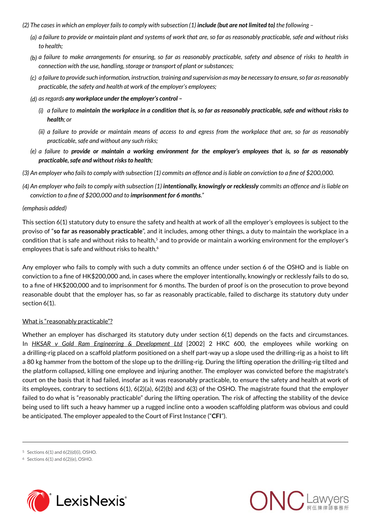- *(2) The cases in which an employer fails to comply with subsection (1) include (but are not limited to) the following* 
	- *(a) a failure to provide or maintain plant and systems of work that are, so far as reasonably practicable, safe and without risks to health;*
	- *(b) a failure to make arrangements for ensuring, so far as reasonably practicable, safety and absence of risks to health in connection with the use, handling, storage or transport of plant or substances;*
	- *(c) a failure to provide such information, instruction, training and supervision as may be necessary to ensure, so far as reasonably practicable, the safety and health at work of the employer's employees;*
	- *(d) as regards any workplace under the employer's control –*
		- *(i) a failure to maintain the workplace in a condition that is, so far as reasonably practicable, safe and without risks to health; or*
		- *(ii) a failure to provide or maintain means of access to and egress from the workplace that are, so far as reasonably practicable, safe and without any such risks;*
	- *(e) a failure to provide or maintain a working environment for the employer's employees that is, so far as reasonably practicable, safe and without risks to health;*
- *(3) An employer who fails to comply with subsection (1) commits an offence and is liable on conviction to a fine of \$200,000.*
- *(4) An employer who fails to comply with subsection (1) intentionally, knowingly or recklessly commits an offence and is liable on conviction to a fine of \$200,000 and to imprisonment for 6 months."*

#### *(emphasis added)*

This section 6(1) statutory duty to ensure the safety and health at work of all the employer's employees is subject to the proviso of "**so far as reasonably practicable**", and it includes, among other things, a duty to maintain the workplace in a condition that is safe and without risks to health,<sup>5</sup> and to provide or maintain a working environment for the employer's employees that is safe and without risks to health.<sup>6</sup>

Any employer who fails to comply with such a duty commits an offence under section 6 of the OSHO and is liable on conviction to a fine of HK\$200,000 and, in cases where the employer intentionally, knowingly or recklessly fails to do so, to a fine of HK\$200,000 and to imprisonment for 6 months. The burden of proof is on the prosecution to prove beyond reasonable doubt that the employer has, so far as reasonably practicable, failed to discharge its statutory duty under section 6(1).

#### What is "reasonably practicable"?

Whether an employer has discharged its statutory duty under section 6(1) depends on the facts and circumstances. In *HKSAR v Gold Ram Engineering & Development Ltd* [2002] 2 HKC 600, the employees while working on a drilling-rig placed on a scaffold platform positioned on a shelf part-way up a slope used the drilling-rig as a hoist to lift a 80 kg hammer from the bottom of the slope up to the drilling-rig. During the lifting operation the drilling-rig tilted and the platform collapsed, killing one employee and injuring another. The employer was convicted before the magistrate's court on the basis that it had failed, insofar as it was reasonably practicable, to ensure the safety and health at work of its employees, contrary to sections 6(1), 6(2)(a), 6(2)(b) and 6(3) of the OSHO. The magistrate found that the employer failed to do what is "reasonably practicable" during the lifting operation. The risk of affecting the stability of the device being used to lift such a heavy hammer up a rugged incline onto a wooden scaffolding platform was obvious and could be anticipated. The employer appealed to the Court of First Instance ("**CFI**").

5 Sections 6(1) and 6(2)(d)(i), OSHO.

 $6$  Sections  $6(1)$  and  $6(2)(e)$ , OSHO.



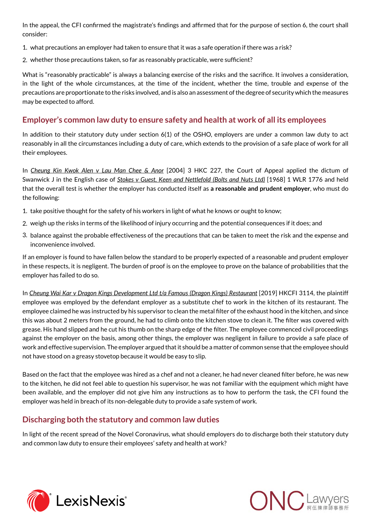In the appeal, the CFI confirmed the magistrate's findings and affirmed that for the purpose of section 6, the court shall consider:

- 1. what precautions an employer had taken to ensure that it was a safe operation if there was a risk?
- 2. whether those precautions taken, so far as reasonably practicable, were sufficient?

What is "reasonably practicable" is always a balancing exercise of the risks and the sacrifice. It involves a consideration, in the light of the whole circumstances, at the time of the incident, whether the time, trouble and expense of the precautions are proportionate to the risks involved, and is also an assessment of the degree of security which the measures may be expected to afford.

## **Employer's common law duty to ensure safety and health at work of all its employees**

In addition to their statutory duty under section 6(1) of the OSHO, employers are under a common law duty to act reasonably in all the circumstances including a duty of care, which extends to the provision of a safe place of work for all their employees.

In *Cheung Kin Kwok Alen v Lau Man Chee & Anor* [2004] 3 HKC 227, the Court of Appeal applied the dictum of Swanwick J in the English case of *Stokes v Guest, Keen and Nettlefold (Bolts and Nuts Ltd)* [1968] 1 WLR 1776 and held that the overall test is whether the employer has conducted itself as **a reasonable and prudent employer**, who must do the following:

- 1. take positive thought for the safety of his workers in light of what he knows or ought to know;
- 2. weigh up the risks in terms of the likelihood of injury occurring and the potential consequences if it does; and
- 3. balance against the probable effectiveness of the precautions that can be taken to meet the risk and the expense and inconvenience involved.

If an employer is found to have fallen below the standard to be properly expected of a reasonable and prudent employer in these respects, it is negligent. The burden of proof is on the employee to prove on the balance of probabilities that the employer has failed to do so.

In *Cheung Wai Kar v Dragon Kings Development Ltd t/a Famous (Dragon Kings) Restaurant* [2019] HKCFI 3114, the plaintiff employee was employed by the defendant employer as a substitute chef to work in the kitchen of its restaurant. The employee claimed he was instructed by his supervisor to clean the metal filter of the exhaust hood in the kitchen, and since this was about 2 meters from the ground, he had to climb onto the kitchen stove to clean it. The filter was covered with grease. His hand slipped and he cut his thumb on the sharp edge of the filter. The employee commenced civil proceedings against the employer on the basis, among other things, the employer was negligent in failure to provide a safe place of work and effective supervision. The employer argued that it should be a matter of common sense that the employee should not have stood on a greasy stovetop because it would be easy to slip.

Based on the fact that the employee was hired as a chef and not a cleaner, he had never cleaned filter before, he was new to the kitchen, he did not feel able to question his supervisor, he was not familiar with the equipment which might have been available, and the employer did not give him any instructions as to how to perform the task, the CFI found the employer was held in breach of its non-delegable duty to provide a safe system of work.

### **Discharging both the statutory and common law duties**

In light of the recent spread of the Novel Coronavirus, what should employers do to discharge both their statutory duty and common law duty to ensure their employees' safety and health at work?



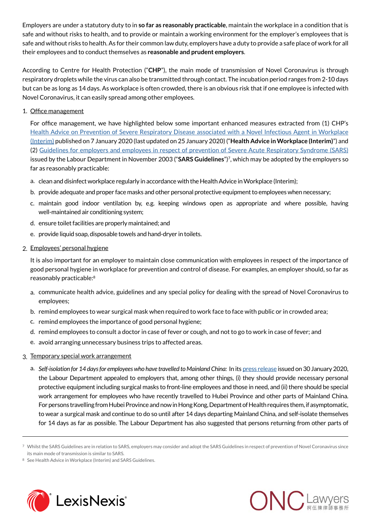Employers are under a statutory duty to in **so far as reasonably practicable**, maintain the workplace in a condition that is safe and without risks to health, and to provide or maintain a working environment for the employer's employees that is safe and without risks to health. As for their common law duty, employers have a duty to provide a safe place of work for all their employees and to conduct themselves as **reasonable and prudent employers**.

According to Centre for Health Protection ("**CHP**"), the main mode of transmission of Novel Coronavirus is through respiratory droplets while the virus can also be transmitted through contact. The incubation period ranges from 2-10 days but can be as long as 14 days. As workplace is often crowded, there is an obvious risk that if one employee is infected with Novel Coronavirus, it can easily spread among other employees.

#### 1. Office management

For office management, we have highlighted below some important enhanced measures extracted from (1) CHP's [Health Advice on Prevention of Severe Respiratory Disease associated with a Novel Infectious Agent in Workplace](https://www.chp.gov.hk/files/pdf/nid_guideline_workplace_eng.pdf) [\(Interim\)](https://www.chp.gov.hk/files/pdf/nid_guideline_workplace_eng.pdf) published on 7 January 2020 (last updated on 25 January 2020) ("**Health Advice in Workplace (Interim)**") and (2) [Guidelines for employers and employees in respect of prevention of Severe Acute Respiratory Syndrome \(SARS\)](https://www.info.gov.hk/info/sars/lft/employ_e.htm) issued by the Labour Department in November 2003 ("**SARS Guidelines**")7, which may be adopted by the employers so far as reasonably practicable:

- a. clean and disinfect workplace regularly in accordance with the Health Advice in Workplace (Interim);
- b. provide adequate and proper face masks and other personal protective equipment to employees when necessary;
- c. maintain good indoor ventilation by, e.g. keeping windows open as appropriate and where possible, having well-maintained air conditioning system;
- d. ensure toilet facilities are properly maintained; and
- e. provide liquid soap, disposable towels and hand-dryer in toilets.
- 2. Employees' personal hygiene

It is also important for an employer to maintain close communication with employees in respect of the importance of good personal hygiene in workplace for prevention and control of disease. For examples, an employer should, so far as reasonably practicable:8

- a. communicate health advice, guidelines and any special policy for dealing with the spread of Novel Coronavirus to employees;
- b. remind employees to wear surgical mask when required to work face to face with public or in crowded area;
- c. remind employees the importance of good personal hygiene;
- d. remind employees to consult a doctor in case of fever or cough, and not to go to work in case of fever; and
- e. avoid arranging unnecessary business trips to affected areas.
- 3. Temporary special work arrangement
	- a. Self-isolation for 14 days for employees who have travelled to Mainland China: In its [press release](https://www.info.gov.hk/gia/general/202001/30/P2020013000285.htm?fontSize=1) issued on 30 January 2020, the Labour Department appealed to employers that, among other things, (i) they should provide necessary personal protective equipment including surgical masks to front-line employees and those in need, and (ii) there should be special work arrangement for employees who have recently travelled to Hubei Province and other parts of Mainland China. For persons travelling from Hubei Province and now in Hong Kong, Department of Health requires them, if asymptomatic, to wear a surgical mask and continue to do so until after 14 days departing Mainland China, and self-isolate themselves for 14 days as far as possible. The Labour Department has also suggested that persons returning from other parts of

8 See Health Advice in Workplace (Interim) and SARS Guidelines.





<sup>7</sup> Whilst the SARS Guidelines are in relation to SARS, employers may consider and adopt the SARS Guidelines in respect of prevention of Novel Coronavirus since its main mode of transmission is similar to SARS.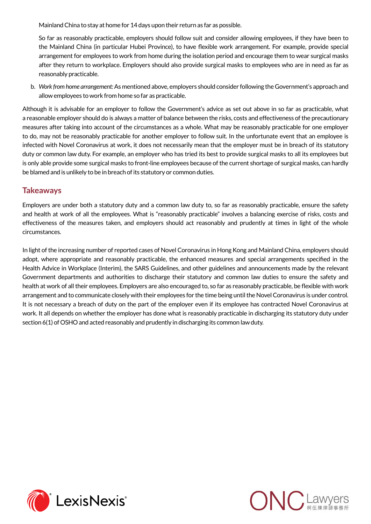Mainland China to stay at home for 14 days upon their return as far as possible.

So far as reasonably practicable, employers should follow suit and consider allowing employees, if they have been to the Mainland China (in particular Hubei Province), to have flexible work arrangement. For example, provide special arrangement for employees to work from home during the isolation period and encourage them to wear surgical masks after they return to workplace. Employers should also provide surgical masks to employees who are in need as far as reasonably practicable.

b. *Work from home arrangement:* As mentioned above, employers should consider following the Government's approach and allow employees to work from home so far as practicable.

Although it is advisable for an employer to follow the Government's advice as set out above in so far as practicable, what a reasonable employer should do is always a matter of balance between the risks, costs and effectiveness of the precautionary measures after taking into account of the circumstances as a whole. What may be reasonably practicable for one employer to do, may not be reasonably practicable for another employer to follow suit. In the unfortunate event that an employee is infected with Novel Coronavirus at work, it does not necessarily mean that the employer must be in breach of its statutory duty or common law duty. For example, an employer who has tried its best to provide surgical masks to all its employees but is only able provide some surgical masks to front-line employees because of the current shortage of surgical masks, can hardly be blamed and is unlikely to be in breach of its statutory or common duties.

### **Takeaways**

Employers are under both a statutory duty and a common law duty to, so far as reasonably practicable, ensure the safety and health at work of all the employees. What is "reasonably practicable" involves a balancing exercise of risks, costs and effectiveness of the measures taken, and employers should act reasonably and prudently at times in light of the whole circumstances.

In light of the increasing number of reported cases of Novel Coronavirus in Hong Kong and Mainland China, employers should adopt, where appropriate and reasonably practicable, the enhanced measures and special arrangements specified in the Health Advice in Workplace (Interim), the SARS Guidelines, and other guidelines and announcements made by the relevant Government departments and authorities to discharge their statutory and common law duties to ensure the safety and health at work of all their employees. Employers are also encouraged to, so far as reasonably practicable, be flexible with work arrangement and to communicate closely with their employees for the time being until the Novel Coronavirus is under control. It is not necessary a breach of duty on the part of the employer even if its employee has contracted Novel Coronavirus at work. It all depends on whether the employer has done what is reasonably practicable in discharging its statutory duty under section 6(1) of OSHO and acted reasonably and prudently in discharging its common law duty.